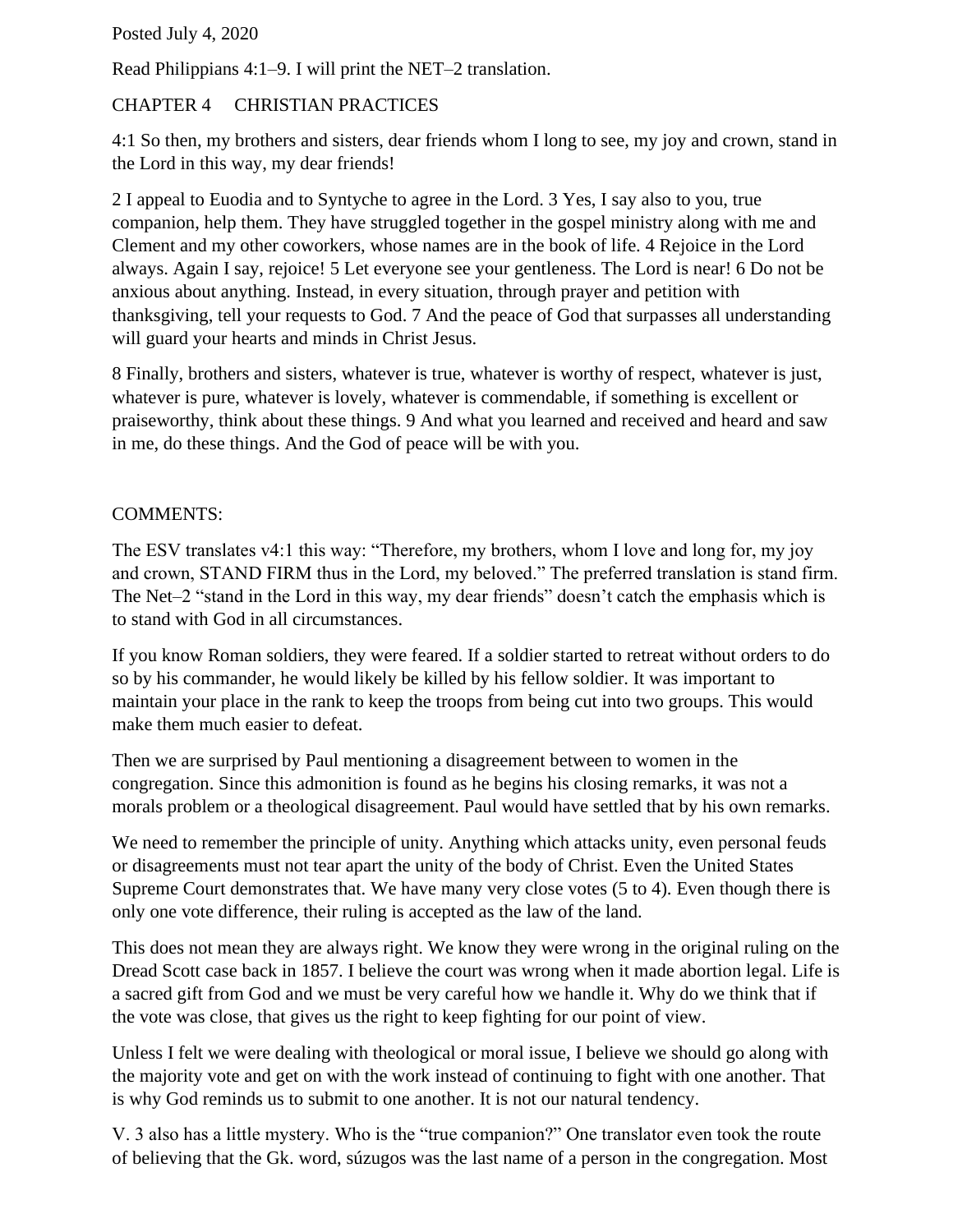Posted July 4, 2020

Read Philippians 4:1–9. I will print the NET–2 translation.

## CHAPTER 4 CHRISTIAN PRACTICES

4:1 So then, my brothers and sisters, dear friends whom I long to see, my joy and crown, stand in the Lord in this way, my dear friends!

2 I appeal to Euodia and to Syntyche to agree in the Lord. 3 Yes, I say also to you, true companion, help them. They have struggled together in the gospel ministry along with me and Clement and my other coworkers, whose names are in the book of life. 4 Rejoice in the Lord always. Again I say, rejoice! 5 Let everyone see your gentleness. The Lord is near! 6 Do not be anxious about anything. Instead, in every situation, through prayer and petition with thanksgiving, tell your requests to God. 7 And the peace of God that surpasses all understanding will guard your hearts and minds in Christ Jesus.

8 Finally, brothers and sisters, whatever is true, whatever is worthy of respect, whatever is just, whatever is pure, whatever is lovely, whatever is commendable, if something is excellent or praiseworthy, think about these things. 9 And what you learned and received and heard and saw in me, do these things. And the God of peace will be with you.

## COMMENTS:

The ESV translates v4:1 this way: "Therefore, my brothers, whom I love and long for, my joy and crown, STAND FIRM thus in the Lord, my beloved." The preferred translation is stand firm. The Net–2 "stand in the Lord in this way, my dear friends" doesn't catch the emphasis which is to stand with God in all circumstances.

If you know Roman soldiers, they were feared. If a soldier started to retreat without orders to do so by his commander, he would likely be killed by his fellow soldier. It was important to maintain your place in the rank to keep the troops from being cut into two groups. This would make them much easier to defeat.

Then we are surprised by Paul mentioning a disagreement between to women in the congregation. Since this admonition is found as he begins his closing remarks, it was not a morals problem or a theological disagreement. Paul would have settled that by his own remarks.

We need to remember the principle of unity. Anything which attacks unity, even personal feuds or disagreements must not tear apart the unity of the body of Christ. Even the United States Supreme Court demonstrates that. We have many very close votes (5 to 4). Even though there is only one vote difference, their ruling is accepted as the law of the land.

This does not mean they are always right. We know they were wrong in the original ruling on the Dread Scott case back in 1857. I believe the court was wrong when it made abortion legal. Life is a sacred gift from God and we must be very careful how we handle it. Why do we think that if the vote was close, that gives us the right to keep fighting for our point of view.

Unless I felt we were dealing with theological or moral issue, I believe we should go along with the majority vote and get on with the work instead of continuing to fight with one another. That is why God reminds us to submit to one another. It is not our natural tendency.

V. 3 also has a little mystery. Who is the "true companion?" One translator even took the route of believing that the Gk. word, súzugos was the last name of a person in the congregation. Most